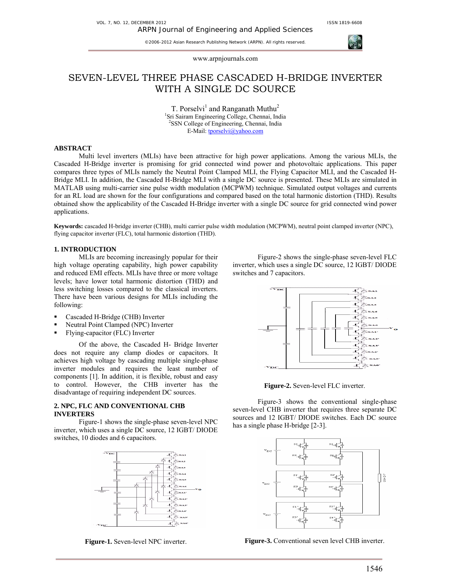

www.arpnjournals.com

# SEVEN-LEVEL THREE PHASE CASCADED H-BRIDGE INVERTER WITH A SINGLE DC SOURCE

T. Porselvi<sup>1</sup> and Ranganath Muthu<sup>2</sup> 1 Sri Sairam Engineering College, Chennai, India 2 SSN College of Engineering, Chennai, India E-Mail: tporselvi@yahoo.com

# **ABSTRACT**

Multi level inverters (MLIs) have been attractive for high power applications. Among the various MLIs, the Cascaded H-Bridge inverter is promising for grid connected wind power and photovoltaic applications. This paper compares three types of MLIs namely the Neutral Point Clamped MLI, the Flying Capacitor MLI, and the Cascaded H-Bridge MLI. In addition, the Cascaded H-Bridge MLI with a single DC source is presented. These MLIs are simulated in MATLAB using multi-carrier sine pulse width modulation (MCPWM) technique. Simulated output voltages and currents for an RL load are shown for the four configurations and compared based on the total harmonic distortion (THD). Results obtained show the applicability of the Cascaded H-Bridge inverter with a single DC source for grid connected wind power applications.

**Keywords:** cascaded H-bridge inverter (CHB), multi carrier pulse width modulation (MCPWM), neutral point clamped inverter (NPC), flying capacitor inverter (FLC), total harmonic distortion (THD).

# **1. INTRODUCTION**

 MLIs are becoming increasingly popular for their high voltage operating capability, high power capability and reduced EMI effects. MLIs have three or more voltage levels; have lower total harmonic distortion (THD) and less switching losses compared to the classical inverters. There have been various designs for MLIs including the following:

- Cascaded H-Bridge (CHB) Inverter
- Neutral Point Clamped (NPC) Inverter
- Flying-capacitor (FLC) Inverter

 Of the above, the Cascaded H- Bridge Inverter does not require any clamp diodes or capacitors. It achieves high voltage by cascading multiple single-phase inverter modules and requires the least number of components [1]. In addition, it is flexible, robust and easy to control. However, the CHB inverter has the disadvantage of requiring independent DC sources.

### **2. NPC, FLC AND CONVENTIONAL CHB INVERTERS**

Figure-1 shows the single-phase seven-level NPC inverter, which uses a single DC source, 12 IGBT/ DIODE switches, 10 diodes and 6 capacitors.



**Figure-1.** Seven-level NPC inverter.

Figure-2 shows the single-phase seven-level FLC inverter, which uses a single DC source, 12 IGBT/ DIODE switches and 7 capacitors.



**Figure-2.** Seven-level FLC inverter.

Figure-3 shows the conventional single-phase seven-level CHB inverter that requires three separate DC sources and 12 IGBT/ DIODE switches. Each DC source has a single phase H-bridge [2-3].



**Figure-3.** Conventional seven level CHB inverter.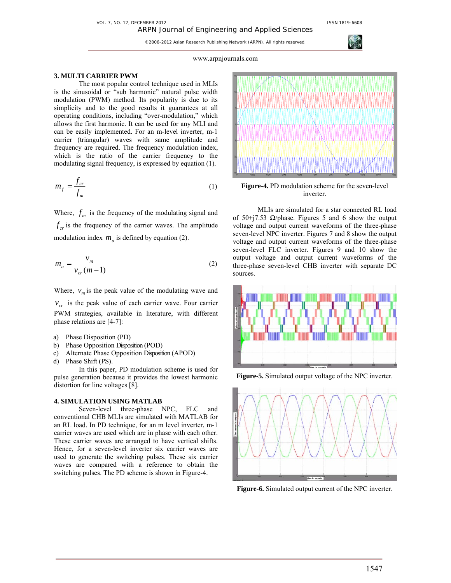

# www.arpnjournals.com

### **3. MULTI CARRIER PWM**

The most popular control technique used in MLIs is the sinusoidal or "sub harmonic" natural pulse width modulation (PWM) method. Its popularity is due to its simplicity and to the good results it guarantees at all operating conditions, including "over-modulation," which allows the first harmonic. It can be used for any MLI and can be easily implemented. For an m-level inverter, m-1 carrier (triangular) waves with same amplitude and frequency are required. The frequency modulation index, which is the ratio of the carrier frequency to the modulating signal frequency, is expressed by equation (1).

$$
m_f = \frac{f_{cr}}{f_m} \tag{1}
$$

Where,  $f_m$  is the frequency of the modulating signal and  $f_{cr}$  is the frequency of the carrier waves. The amplitude modulation index  $m_a$  is defined by equation (2).

$$
m_a = \frac{v_m}{v_{cr}(m-1)}
$$
 (2)

Where,  $v_m$  is the peak value of the modulating wave and

 $v_{cr}$  is the peak value of each carrier wave. Four carrier PWM strategies, available in literature, with different phase relations are [4-7]:

- a) Phase Disposition (PD)
- b) Phase Opposition Disposition (POD)
- c) Alternate Phase Opposition Disposition (APOD)
- d) Phase Shift (PS).

 In this paper, PD modulation scheme is used for pulse generation because it provides the lowest harmonic distortion for line voltages [8].

# **4. SIMULATION USING MATLAB**

Seven-level three-phase NPC, FLC and conventional CHB MLIs are simulated with MATLAB for an RL load. In PD technique, for an m level inverter, m-1 carrier waves are used which are in phase with each other. These carrier waves are arranged to have vertical shifts. Hence, for a seven-level inverter six carrier waves are used to generate the switching pulses. These six carrier waves are compared with a reference to obtain the switching pulses. The PD scheme is shown in Figure-4.



**Figure-4.** PD modulation scheme for the seven-level inverter.

MLIs are simulated for a star connected RL load of 50+j7.53  $\Omega$ /phase. Figures 5 and 6 show the output voltage and output current waveforms of the three-phase seven-level NPC inverter. Figures 7 and 8 show the output voltage and output current waveforms of the three-phase seven-level FLC inverter. Figures 9 and 10 show the output voltage and output current waveforms of the three-phase seven-level CHB inverter with separate DC sources.



**Figure-5.** Simulated output voltage of the NPC inverter.



**Figure-6.** Simulated output current of the NPC inverter.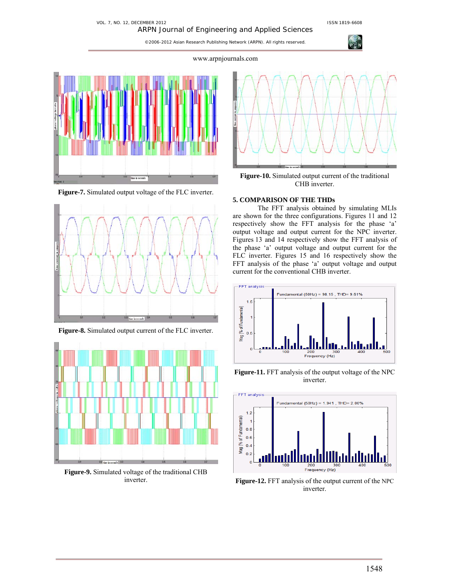#### VOL. 7, NO. 12, DECEMBER 2012 **ISSN 1819-6608** ARPN Journal of Engineering and Applied Sciences

©2006-2012 Asian Research Publishing Network (ARPN). All rights reserved.

www.arpnjournals.com



**Figure-7.** Simulated output voltage of the FLC inverter.



**Figure-8.** Simulated output current of the FLC inverter.



**Figure-9.** Simulated voltage of the traditional CHB inverter.



**Figure-10.** Simulated output current of the traditional CHB inverter.

# **5. COMPARISON OF THE THDs**

The FFT analysis obtained by simulating MLIs are shown for the three configurations. Figures 11 and 12 respectively show the FFT analysis for the phase 'a' output voltage and output current for the NPC inverter. Figures 13 and 14 respectively show the FFT analysis of the phase 'a' output voltage and output current for the FLC inverter. Figures 15 and 16 respectively show the FFT analysis of the phase 'a' output voltage and output current for the conventional CHB inverter.



**Figure-11.** FFT analysis of the output voltage of the NPC inverter.



**Figure-12.** FFT analysis of the output current of the NPC inverter.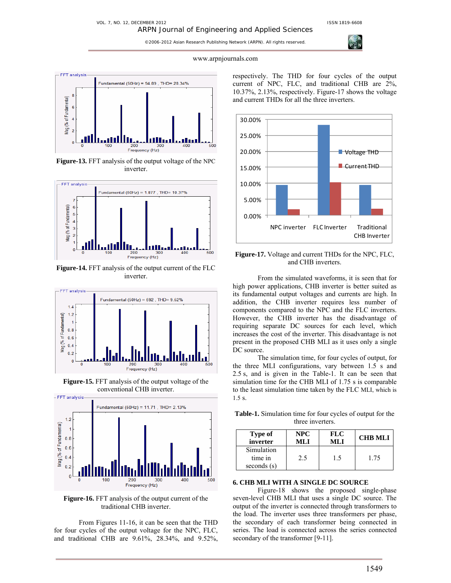ARPN Journal of Engineering and Applied Sciences



www.arpnjournals.com



**Figure-13.** FFT analysis of the output voltage of the NPC inverter.



**Figure-14.** FFT analysis of the output current of the FLC inverter.



**Figure-15.** FFT analysis of the output voltage of the conventional CHB inverter.



**Figure-16.** FFT analysis of the output current of the traditional CHB inverter.

From Figures 11-16, it can be seen that the THD for four cycles of the output voltage for the NPC, FLC, and traditional CHB are 9.61%, 28.34%, and 9.52%,

respectively. The THD for four cycles of the output current of NPC, FLC, and traditional CHB are 2%, 10.37%, 2.13%, respectively. Figure-17 shows the voltage and current THDs for all the three inverters.



**Figure-17.** Voltage and current THDs for the NPC, FLC, and CHB inverters.

From the simulated waveforms, it is seen that for high power applications, CHB inverter is better suited as its fundamental output voltages and currents are high. In addition, the CHB inverter requires less number of components compared to the NPC and the FLC inverters. However, the CHB inverter has the disadvantage of requiring separate DC sources for each level, which increases the cost of the inverter. This disadvantage is not present in the proposed CHB MLI as it uses only a single DC source.

 The simulation time, for four cycles of output, for the three MLI configurations, vary between 1.5 s and 2.5 s, and is given in the Table-1. It can be seen that simulation time for the CHB MLI of 1.75 s is comparable to the least simulation time taken by the FLC MLI, which is 1.5 s.

**Table-1.** Simulation time for four cycles of output for the three inverters.

| Type of                                | <b>NPC</b> | <b>FLC</b> | <b>CHB MLI</b> |
|----------------------------------------|------------|------------|----------------|
| inverter                               | ML I       | MLI        |                |
| Simulation<br>time in<br>seconds $(s)$ | 2.5        | 15         | 1.75           |

# **6. CHB MLI WITH A SINGLE DC SOURCE**

Figure-18 shows the proposed single-phase seven-level CHB MLI that uses a single DC source. The output of the inverter is connected through transformers to the load. The inverter uses three transformers per phase, the secondary of each transformer being connected in series. The load is connected across the series connected secondary of the transformer [9-11].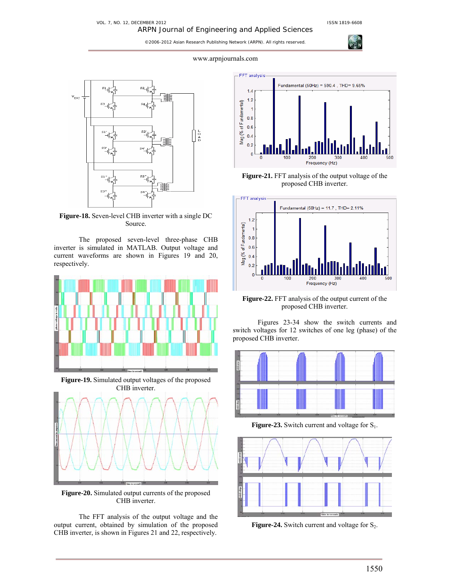**AGI** 

#### www.arpnjournals.com



**Figure-18.** Seven-level CHB inverter with a single DC Source.

The proposed seven-level three-phase CHB inverter is simulated in MATLAB. Output voltage and current waveforms are shown in Figures 19 and 20, respectively.



**Figure-19.** Simulated output voltages of the proposed CHB inverter.



**Figure-20.** Simulated output currents of the proposed CHB inverter.

The FFT analysis of the output voltage and the output current, obtained by simulation of the proposed CHB inverter, is shown in Figures 21 and 22, respectively.



**Figure-21.** FFT analysis of the output voltage of the proposed CHB inverter.



**Figure-22.** FFT analysis of the output current of the proposed CHB inverter.

Figures 23-34 show the switch currents and switch voltages for 12 switches of one leg (phase) of the proposed CHB inverter.



**Figure-23.** Switch current and voltage for  $S_1$ .



**Figure-24.** Switch current and voltage for  $S_2$ .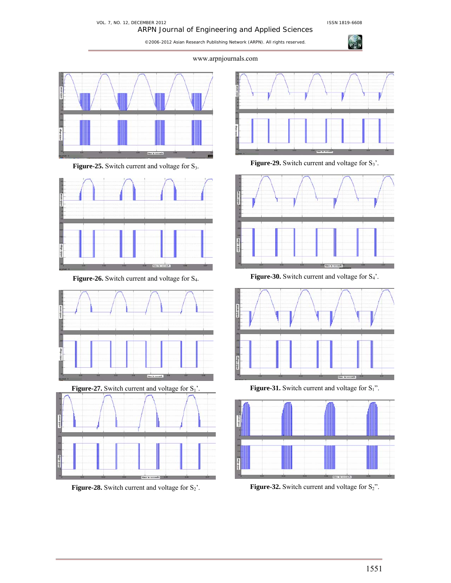**CON** 

# VOL. 7, NO. 12, DECEMBER 2012 **ISSN 1819-6608** ARPN Journal of Engineering and Applied Sciences

©2006-2012 Asian Research Publishing Network (ARPN). All rights reserved.

www.arpnjournals.com



Figure-25. Switch current and voltage for S<sub>3</sub>.



Figure-26. Switch current and voltage for S<sub>4</sub>.





**Figure-28.** Switch current and voltage for  $S_2$ '.



**Figure-29.** Switch current and voltage for  $S_3$ '.



**Figure-30.** Switch current and voltage for  $S_4$ <sup>2</sup>.



**Figure-31.** Switch current and voltage for  $S_1$ ".



**Figure-32.** Switch current and voltage for  $S_2$ ".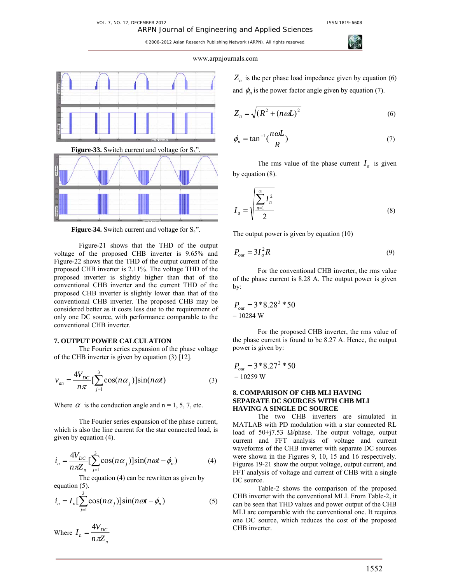#### www.arpnjournals.com







**Figure-34.** Switch current and voltage for S<sub>4</sub>".

Figure-21 shows that the THD of the output voltage of the proposed CHB inverter is 9.65% and Figure-22 shows that the THD of the output current of the proposed CHB inverter is 2.11%. The voltage THD of the proposed inverter is slightly higher than that of the conventional CHB inverter and the current THD of the proposed CHB inverter is slightly lower than that of the conventional CHB inverter. The proposed CHB may be considered better as it costs less due to the requirement of only one DC source, with performance comparable to the conventional CHB inverter.

# **7. OUTPUT POWER CALCULATION**

The Fourier series expansion of the phase voltage of the CHB inverter is given by equation (3) [12].

$$
v_{an} = \frac{4V_{DC}}{n\pi} \left[\sum_{j=1}^{3} \cos(n\alpha_j)\right] \sin(n\omega t)
$$
 (3)

Where  $\alpha$  is the conduction angle and n = 1, 5, 7, etc.

The Fourier series expansion of the phase current, which is also the line current for the star connected load, is given by equation (4).

$$
i_a = \frac{4V_{DC}}{n\pi Z_n} \left[\sum_{j=1}^3 \cos(n\alpha_j)\right] \sin(n\omega t - \phi_n)
$$
 (4)

 The equation (4) can be rewritten as given by equation (5).

$$
i_a = I_n \left[ \sum_{j=1}^3 \cos(n\alpha_j) \right] \sin(n\omega t - \phi_n)
$$
 (5)

Where *n*  $n = \frac{\mathbf{v}_{DC}}{n \pi Z_n}$  $I_n = \frac{4V_{DC}}{n\pi Z}$ 

 $Z_n$  is the per phase load impedance given by equation (6) and  $\phi_n$  is the power factor angle given by equation (7).

$$
Z_n = \sqrt{(R^2 + (n\omega L)^2)}
$$
 (6)

$$
\phi_n = \tan^{-1}\left(\frac{n\omega L}{R}\right) \tag{7}
$$

The rms value of the phase current  $I_a$  is given by equation (8).

$$
I_a = \sqrt{\sum_{n=1}^{\infty} I_n^2 \over 2}
$$
 (8)

The output power is given by equation (10)

$$
P_{out} = 3I_a^2 R \tag{9}
$$

For the conventional CHB inverter, the rms value of the phase current is 8.28 A. The output power is given by:

$$
P_{out} = 3*8.282 * 50
$$
  
= 10284 W

For the proposed CHB inverter, the rms value of the phase current is found to be 8.27 A. Hence, the output power is given by:

$$
P_{out} = 3 * 8.27^2 * 50
$$
  
= 10259 W

# **8. COMPARISON OF CHB MLI HAVING SEPARATE DC SOURCES WITH CHB MLI HAVING A SINGLE DC SOURCE**

The two CHB inverters are simulated in MATLAB with PD modulation with a star connected RL load of 50+j7.53  $\Omega$ /phase. The output voltage, output current and FFT analysis of voltage and current waveforms of the CHB inverter with separate DC sources were shown in the Figures 9, 10, 15 and 16 respectively. Figures 19-21 show the output voltage, output current, and FFT analysis of voltage and current of CHB with a single DC source.

Table-2 shows the comparison of the proposed CHB inverter with the conventional MLI. From Table-2, it can be seen that THD values and power output of the CHB MLI are comparable with the conventional one. It requires one DC source, which reduces the cost of the proposed CHB inverter.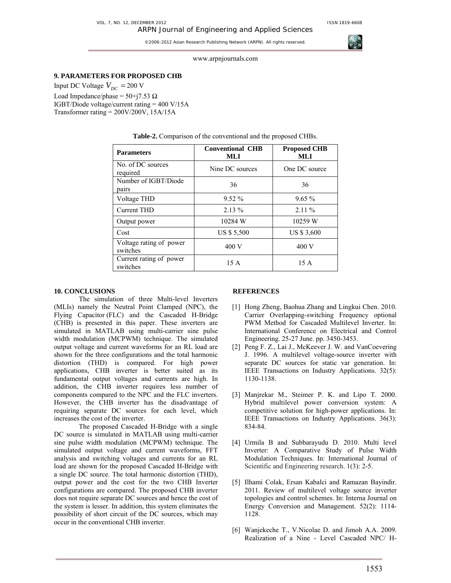

www.arpnjournals.com

# **9. PARAMETERS FOR PROPOSED CHB**

Input DC Voltage  $V_{DC}$  = 200 V Load Impedance/phase =  $50+j7.53 \Omega$ IGBT/Diode voltage/current rating = 400 V/15A Transformer rating = 200V/200V, 15A/15A

| <b>Parameters</b>                   | <b>Conventional CHB</b><br>MLI | <b>Proposed CHB</b><br>MLI |  |
|-------------------------------------|--------------------------------|----------------------------|--|
| No. of DC sources<br>required       | Nine DC sources                | One DC source              |  |
| Number of IGBT/Diode<br>pairs       | 36                             | 36                         |  |
| Voltage THD                         | $9.52\%$                       | $9.65\%$                   |  |
| <b>Current THD</b>                  | $2.13\%$                       | $2.11\%$                   |  |
| Output power                        | 10284 W                        | 10259 W                    |  |
| Cost                                | US \$ 5,500                    | US \$ 3,600                |  |
| Voltage rating of power<br>switches | 400 V                          | 400 V                      |  |
| Current rating of power<br>switches | 15 A                           | 15 A                       |  |

#### **Table-2.** Comparison of the conventional and the proposed CHBs.

### **10. CONCLUSIONS**

The simulation of three Multi-level Inverters (MLIs) namely the Neutral Point Clamped (NPC), the Flying Capacitor (FLC) and the Cascaded H-Bridge (CHB) is presented in this paper. These inverters are simulated in MATLAB using multi-carrier sine pulse width modulation (MCPWM) technique. The simulated output voltage and current waveforms for an RL load are shown for the three configurations and the total harmonic distortion (THD) is compared. For high power applications, CHB inverter is better suited as its fundamental output voltages and currents are high. In addition, the CHB inverter requires less number of components compared to the NPC and the FLC inverters. However, the CHB inverter has the disadvantage of requiring separate DC sources for each level, which increases the cost of the inverter.

The proposed Cascaded H-Bridge with a single DC source is simulated in MATLAB using multi-carrier sine pulse width modulation (MCPWM) technique. The simulated output voltage and current waveforms, FFT analysis and switching voltages and currents for an RL load are shown for the proposed Cascaded H-Bridge with a single DC source. The total harmonic distortion (THD), output power and the cost for the two CHB Inverter configurations are compared. The proposed CHB inverter does not require separate DC sources and hence the cost of the system is lesser. In addition, this system eliminates the possibility of short circuit of the DC sources, which may occur in the conventional CHB inverter.

### **REFERENCES**

- [1] Hong Zheng, Baohua Zhang and Lingkui Chen. 2010. Carrier Overlapping-switching Frequency optional PWM Method for Cascaded Multilevel Inverter. In: International Conference on Electrical and Control Engineering. 25-27 June. pp. 3450-3453.
- [2] Peng F. Z., Lai J., McKeever J. W. and VanCoevering J. 1996. A multilevel voltage-source inverter with separate DC sources for static var generation. In: IEEE Transactions on Industry Applications. 32(5): 1130-1138.
- [3] Manjrekar M., Steimer P. K. and Lipo T. 2000. Hybrid multilevel power conversion system: A competitive solution for high-power applications. In: IEEE Transactions on Industry Applications. 36(3): 834-84.
- [4] Urmila B and Subbarayudu D. 2010. Multi level Inverter: A Comparative Study of Pulse Width Modulation Techniques. In: International Journal of Scientific and Engineering research. 1(3): 2-5.
- [5] Ilhami Colak, Ersan Kabalci and Ramazan Bayindir. 2011. Review of multilevel voltage source inverter topologies and control schemes. In: Interna Journal on Energy Conversion and Management. 52(2): 1114- 1128.
- [6] Wanjekeche T., V.Nicolae D. and Jimoh A.A. 2009. Realization of a Nine - Level Cascaded NPC/ H-